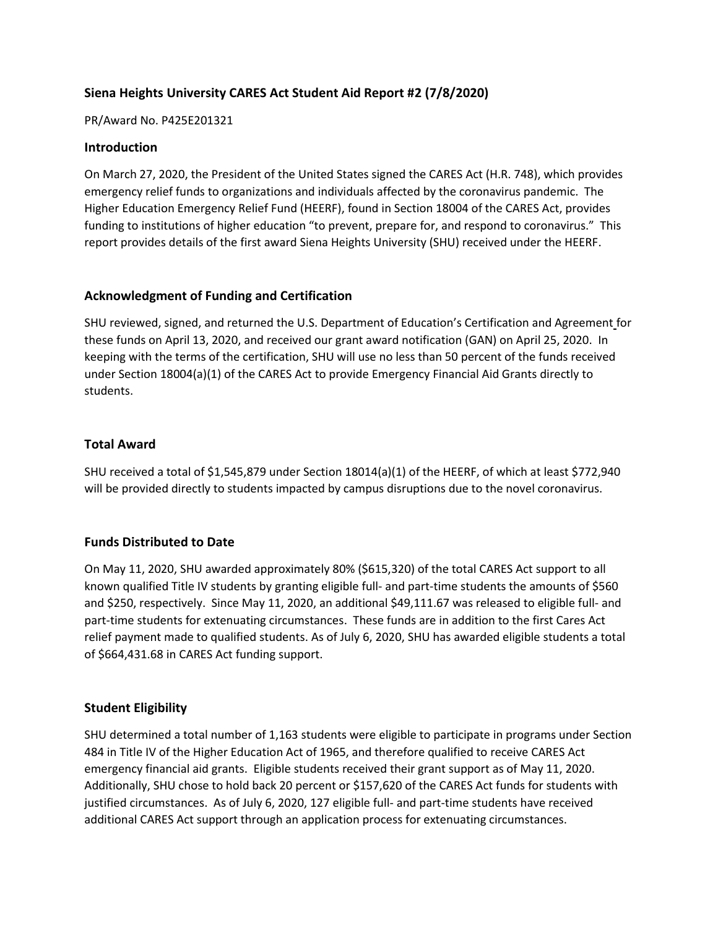# **Siena Heights University CARES Act Student Aid Report #2 (7/8/2020)**

#### PR/Award No. P425E201321

### **Introduction**

On March 27, 2020, the President of the United States signed the CARES Act (H.R. 748), which provides emergency relief funds to organizations and individuals affected by the coronavirus pandemic. The Higher Education Emergency Relief Fund (HEERF), found in Section 18004 of the CARES Act, provides funding to institutions of higher education "to prevent, prepare for, and respond to coronavirus." This report provides details of the first award Siena Heights University (SHU) received under the HEERF.

### **Acknowledgment of Funding and Certification**

SHU reviewed, signed, and returned the U.S. Department of Education's Certification and Agreement for these funds on April 13, 2020, and received our grant award notification (GAN) on April 25, 2020. In keeping with the terms of the certification, SHU will use no less than 50 percent of the funds received under Section 18004(a)(1) of the CARES Act to provide Emergency Financial Aid Grants directly to students.

### **Total Award**

SHU received a total of \$1,545,879 under Section 18014(a)(1) of the HEERF, of which at least \$772,940 will be provided directly to students impacted by campus disruptions due to the novel coronavirus.

#### **Funds Distributed to Date**

On May 11, 2020, SHU awarded approximately 80% (\$615,320) of the total CARES Act support to all known qualified Title IV students by granting eligible full- and part-time students the amounts of \$560 and \$250, respectively. Since May 11, 2020, an additional \$49,111.67 was released to eligible full- and part-time students for extenuating circumstances. These funds are in addition to the first Cares Act relief payment made to qualified students. As of July 6, 2020, SHU has awarded eligible students a total of \$664,431.68 in CARES Act funding support.

#### **Student Eligibility**

SHU determined a total number of 1,163 students were eligible to participate in programs under Section 484 in Title IV of the Higher Education Act of 1965, and therefore qualified to receive CARES Act emergency financial aid grants. Eligible students received their grant support as of May 11, 2020. Additionally, SHU chose to hold back 20 percent or \$157,620 of the CARES Act funds for students with justified circumstances. As of July 6, 2020, 127 eligible full- and part-time students have received additional CARES Act support through an application process for extenuating circumstances.